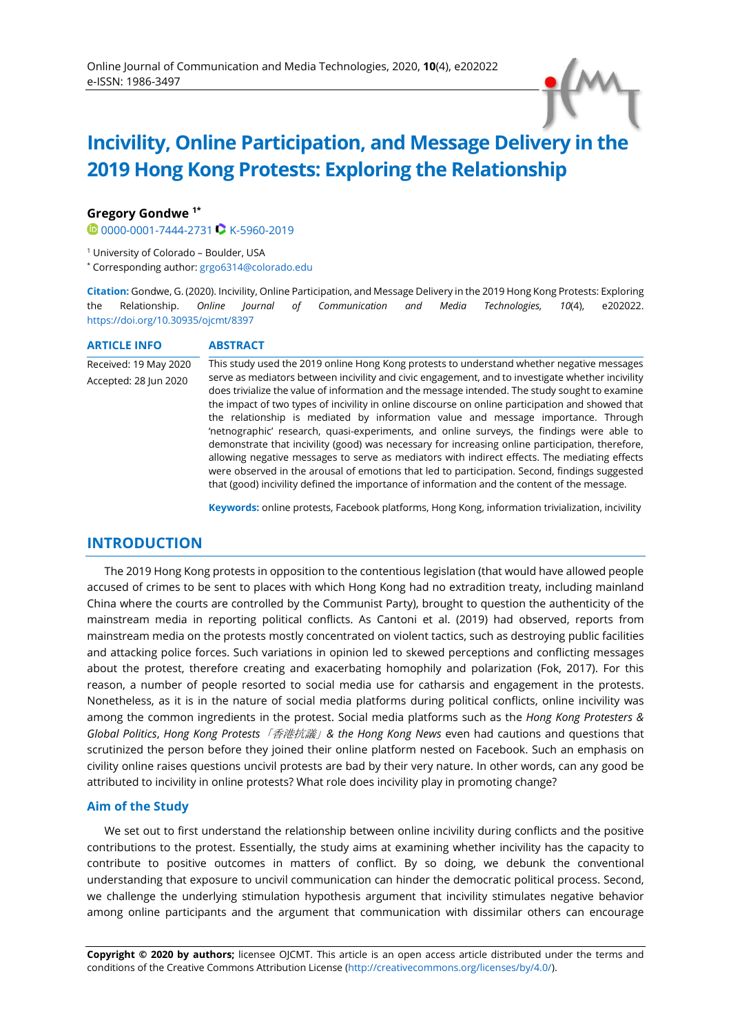# **Incivility, Online Participation, and Message Delivery in the 2019 Hong Kong Protests: Exploring the Relationship**

## **Gregory Gondwe 1\***

**[0000-0001-7444-2731](https://orcid.org/0000-0001-7444-2731) C [K-5960-2019](http://www.researcherid.com/rid/K-5960-2019)** 

<sup>1</sup> University of Colorado – Boulder, USA

\* Corresponding author: [grgo6314@colorado.edu](mailto:grgo6314@colorado.edu)

**Citation:** Gondwe, G. (2020). Incivility, Online Participation, and Message Delivery in the 2019 Hong Kong Protests: Exploring the Relationship. *Online Journal of Communication and Media Technologies, 10*(4), e202022. <https://doi.org/10.30935/ojcmt/8397>

| <b>ARTICLE INFO</b>   | <b>ABSTRACT</b>                                                                                                                                                                                                                                                                                                                                                                                                                                                                                                                                                                                                                                                                                                                                                                                                                                                                                   |  |
|-----------------------|---------------------------------------------------------------------------------------------------------------------------------------------------------------------------------------------------------------------------------------------------------------------------------------------------------------------------------------------------------------------------------------------------------------------------------------------------------------------------------------------------------------------------------------------------------------------------------------------------------------------------------------------------------------------------------------------------------------------------------------------------------------------------------------------------------------------------------------------------------------------------------------------------|--|
| Received: 19 May 2020 | This study used the 2019 online Hong Kong protests to understand whether negative messages                                                                                                                                                                                                                                                                                                                                                                                                                                                                                                                                                                                                                                                                                                                                                                                                        |  |
| Accepted: 28 Jun 2020 | serve as mediators between incivility and civic engagement, and to investigate whether incivility<br>does trivialize the value of information and the message intended. The study sought to examine<br>the impact of two types of incivility in online discourse on online participation and showed that<br>the relationship is mediated by information value and message importance. Through<br>'netnographic' research, quasi-experiments, and online surveys, the findings were able to<br>demonstrate that incivility (good) was necessary for increasing online participation, therefore,<br>allowing negative messages to serve as mediators with indirect effects. The mediating effects<br>were observed in the arousal of emotions that led to participation. Second, findings suggested<br>that (good) incivility defined the importance of information and the content of the message. |  |

**Keywords:** online protests, Facebook platforms, Hong Kong, information trivialization, incivility

# **INTRODUCTION**

The 2019 Hong Kong protests in opposition to the contentious legislation (that would have allowed people accused of crimes to be sent to places with which Hong Kong had no extradition treaty, including mainland China where the courts are controlled by the Communist Party), brought to question the authenticity of the mainstream media in reporting political conflicts. As Cantoni et al. (2019) had observed, reports from mainstream media on the protests mostly concentrated on violent tactics, such as destroying public facilities and attacking police forces. Such variations in opinion led to skewed perceptions and conflicting messages about the protest, therefore creating and exacerbating homophily and polarization (Fok, 2017). For this reason, a number of people resorted to social media use for catharsis and engagement in the protests. Nonetheless, as it is in the nature of social media platforms during political conflicts, online incivility was among the common ingredients in the protest. Social media platforms such as the *Hong Kong Protesters & Global Politics*, *Hong Kong Protests*「香港抗議」*& the Hong Kong News* even had cautions and questions that scrutinized the person before they joined their online platform nested on Facebook. Such an emphasis on civility online raises questions uncivil protests are bad by their very nature. In other words, can any good be attributed to incivility in online protests? What role does incivility play in promoting change?

### **Aim of the Study**

We set out to first understand the relationship between online incivility during conflicts and the positive contributions to the protest. Essentially, the study aims at examining whether incivility has the capacity to contribute to positive outcomes in matters of conflict. By so doing, we debunk the conventional understanding that exposure to uncivil communication can hinder the democratic political process. Second, we challenge the underlying stimulation hypothesis argument that incivility stimulates negative behavior among online participants and the argument that communication with dissimilar others can encourage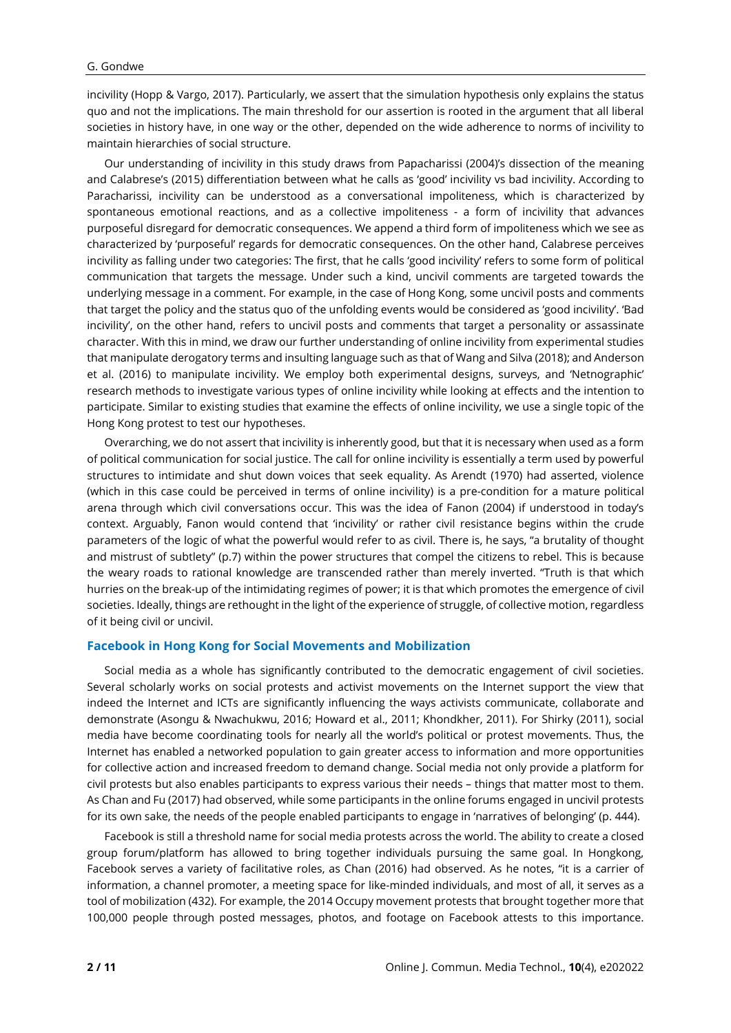incivility (Hopp & Vargo, 2017). Particularly, we assert that the simulation hypothesis only explains the status quo and not the implications. The main threshold for our assertion is rooted in the argument that all liberal societies in history have, in one way or the other, depended on the wide adherence to norms of incivility to maintain hierarchies of social structure.

Our understanding of incivility in this study draws from Papacharissi (2004)'s dissection of the meaning and Calabrese's (2015) differentiation between what he calls as 'good' incivility vs bad incivility. According to Paracharissi, incivility can be understood as a conversational impoliteness, which is characterized by spontaneous emotional reactions, and as a collective impoliteness - a form of incivility that advances purposeful disregard for democratic consequences. We append a third form of impoliteness which we see as characterized by 'purposeful' regards for democratic consequences. On the other hand, Calabrese perceives incivility as falling under two categories: The first, that he calls 'good incivility' refers to some form of political communication that targets the message. Under such a kind, uncivil comments are targeted towards the underlying message in a comment. For example, in the case of Hong Kong, some uncivil posts and comments that target the policy and the status quo of the unfolding events would be considered as 'good incivility'. 'Bad incivility', on the other hand, refers to uncivil posts and comments that target a personality or assassinate character. With this in mind, we draw our further understanding of online incivility from experimental studies that manipulate derogatory terms and insulting language such as that of Wang and Silva (2018); and Anderson et al. (2016) to manipulate incivility. We employ both experimental designs, surveys, and 'Netnographic' research methods to investigate various types of online incivility while looking at effects and the intention to participate. Similar to existing studies that examine the effects of online incivility, we use a single topic of the Hong Kong protest to test our hypotheses.

Overarching, we do not assert that incivility is inherently good, but that it is necessary when used as a form of political communication for social justice. The call for online incivility is essentially a term used by powerful structures to intimidate and shut down voices that seek equality. As Arendt (1970) had asserted, violence (which in this case could be perceived in terms of online incivility) is a pre-condition for a mature political arena through which civil conversations occur. This was the idea of Fanon (2004) if understood in today's context. Arguably, Fanon would contend that 'incivility' or rather civil resistance begins within the crude parameters of the logic of what the powerful would refer to as civil. There is, he says, "a brutality of thought and mistrust of subtlety" (p.7) within the power structures that compel the citizens to rebel. This is because the weary roads to rational knowledge are transcended rather than merely inverted. "Truth is that which hurries on the break-up of the intimidating regimes of power; it is that which promotes the emergence of civil societies. Ideally, things are rethought in the light of the experience of struggle, of collective motion, regardless of it being civil or uncivil.

#### **Facebook in Hong Kong for Social Movements and Mobilization**

Social media as a whole has significantly contributed to the democratic engagement of civil societies. Several scholarly works on social protests and activist movements on the Internet support the view that indeed the Internet and ICTs are significantly influencing the ways activists communicate, collaborate and demonstrate (Asongu & Nwachukwu, 2016; Howard et al., 2011; Khondkher, 2011). For Shirky (2011), social media have become coordinating tools for nearly all the world's political or protest movements. Thus, the Internet has enabled a networked population to gain greater access to information and more opportunities for collective action and increased freedom to demand change. Social media not only provide a platform for civil protests but also enables participants to express various their needs – things that matter most to them. As Chan and Fu (2017) had observed, while some participants in the online forums engaged in uncivil protests for its own sake, the needs of the people enabled participants to engage in 'narratives of belonging' (p. 444).

Facebook is still a threshold name for social media protests across the world. The ability to create a closed group forum/platform has allowed to bring together individuals pursuing the same goal. In Hongkong, Facebook serves a variety of facilitative roles, as Chan (2016) had observed. As he notes, "it is a carrier of information, a channel promoter, a meeting space for like-minded individuals, and most of all, it serves as a tool of mobilization (432). For example, the 2014 Occupy movement protests that brought together more that 100,000 people through posted messages, photos, and footage on Facebook attests to this importance.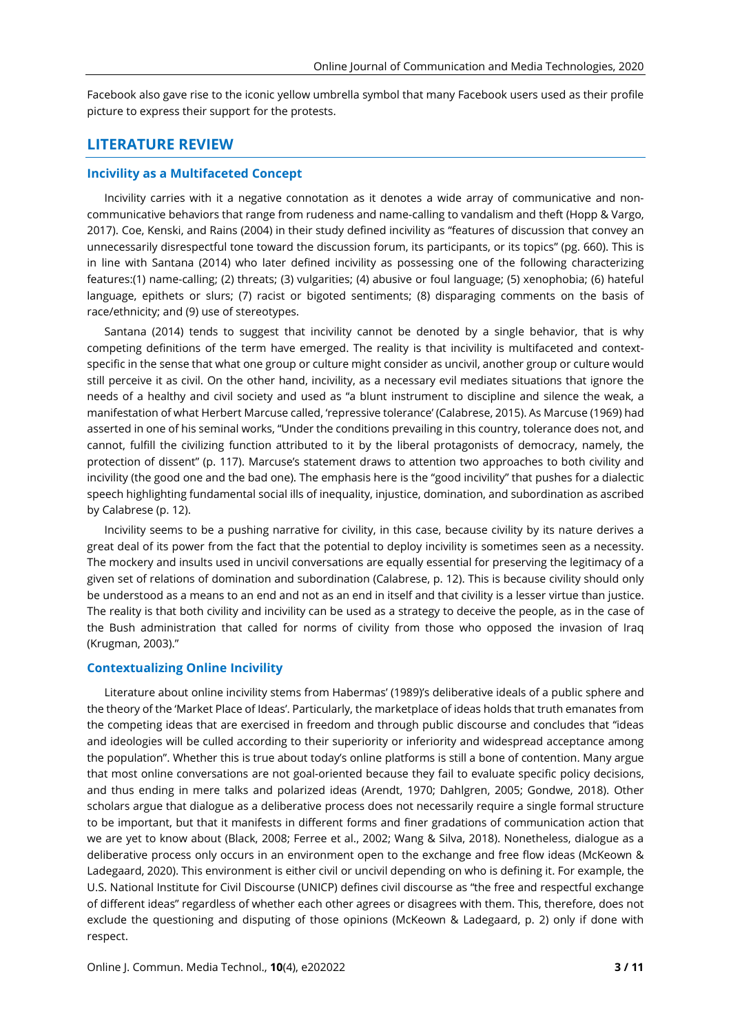Facebook also gave rise to the iconic yellow umbrella symbol that many Facebook users used as their profile picture to express their support for the protests.

# **LITERATURE REVIEW**

#### **Incivility as a Multifaceted Concept**

Incivility carries with it a negative connotation as it denotes a wide array of communicative and noncommunicative behaviors that range from rudeness and name-calling to vandalism and theft (Hopp & Vargo, 2017). Coe, Kenski, and Rains (2004) in their study defined incivility as "features of discussion that convey an unnecessarily disrespectful tone toward the discussion forum, its participants, or its topics" (pg. 660). This is in line with Santana (2014) who later defined incivility as possessing one of the following characterizing features:(1) name-calling; (2) threats; (3) vulgarities; (4) abusive or foul language; (5) xenophobia; (6) hateful language, epithets or slurs; (7) racist or bigoted sentiments; (8) disparaging comments on the basis of race/ethnicity; and (9) use of stereotypes.

Santana (2014) tends to suggest that incivility cannot be denoted by a single behavior, that is why competing definitions of the term have emerged. The reality is that incivility is multifaceted and contextspecific in the sense that what one group or culture might consider as uncivil, another group or culture would still perceive it as civil. On the other hand, incivility, as a necessary evil mediates situations that ignore the needs of a healthy and civil society and used as "a blunt instrument to discipline and silence the weak, a manifestation of what Herbert Marcuse called, 'repressive tolerance' (Calabrese, 2015). As Marcuse (1969) had asserted in one of his seminal works, "Under the conditions prevailing in this country, tolerance does not, and cannot, fulfill the civilizing function attributed to it by the liberal protagonists of democracy, namely, the protection of dissent" (p. 117). Marcuse's statement draws to attention two approaches to both civility and incivility (the good one and the bad one). The emphasis here is the "good incivility" that pushes for a dialectic speech highlighting fundamental social ills of inequality, injustice, domination, and subordination as ascribed by Calabrese (p. 12).

Incivility seems to be a pushing narrative for civility, in this case, because civility by its nature derives a great deal of its power from the fact that the potential to deploy incivility is sometimes seen as a necessity. The mockery and insults used in uncivil conversations are equally essential for preserving the legitimacy of a given set of relations of domination and subordination (Calabrese, p. 12). This is because civility should only be understood as a means to an end and not as an end in itself and that civility is a lesser virtue than justice. The reality is that both civility and incivility can be used as a strategy to deceive the people, as in the case of the Bush administration that called for norms of civility from those who opposed the invasion of Iraq (Krugman, 2003)."

#### **Contextualizing Online Incivility**

Literature about online incivility stems from Habermas' (1989)'s deliberative ideals of a public sphere and the theory of the 'Market Place of Ideas'. Particularly, the marketplace of ideas holds that truth emanates from the competing ideas that are exercised in freedom and through public discours[e](https://en.wikipedia.org/wiki/Truth) and concludes that "ideas and ideologies will be culled according to their superiority or inferiority and widespread acceptance among the population". Whether this is true about today's online platforms is still a bone of contention. Many argue that most online conversations are not goal-oriented because they fail to evaluate specific policy decisions, and thus ending in mere talks and polarized ideas (Arendt, 1970; Dahlgren, 2005; Gondwe, 2018). Other scholars argue that dialogue as a deliberative process does not necessarily require a single formal structure to be important, but that it manifests in different forms and finer gradations of communication action that we are yet to know about (Black, 2008; Ferree et al., 2002; Wang & Silva, 2018). Nonetheless, dialogue as a deliberative process only occurs in an environment open to the exchange and free flow ideas (McKeown & Ladegaard, 2020). This environment is either civil or uncivil depending on who is defining it. For example, the U.S. National Institute for Civil Discourse (UNICP) defines civil discourse as "the free and respectful exchange of different ideas" regardless of whether each other agrees or disagrees with them. This, therefore, does not exclude the questioning and disputing of those opinions (McKeown & Ladegaard, p. 2) only if done with respect.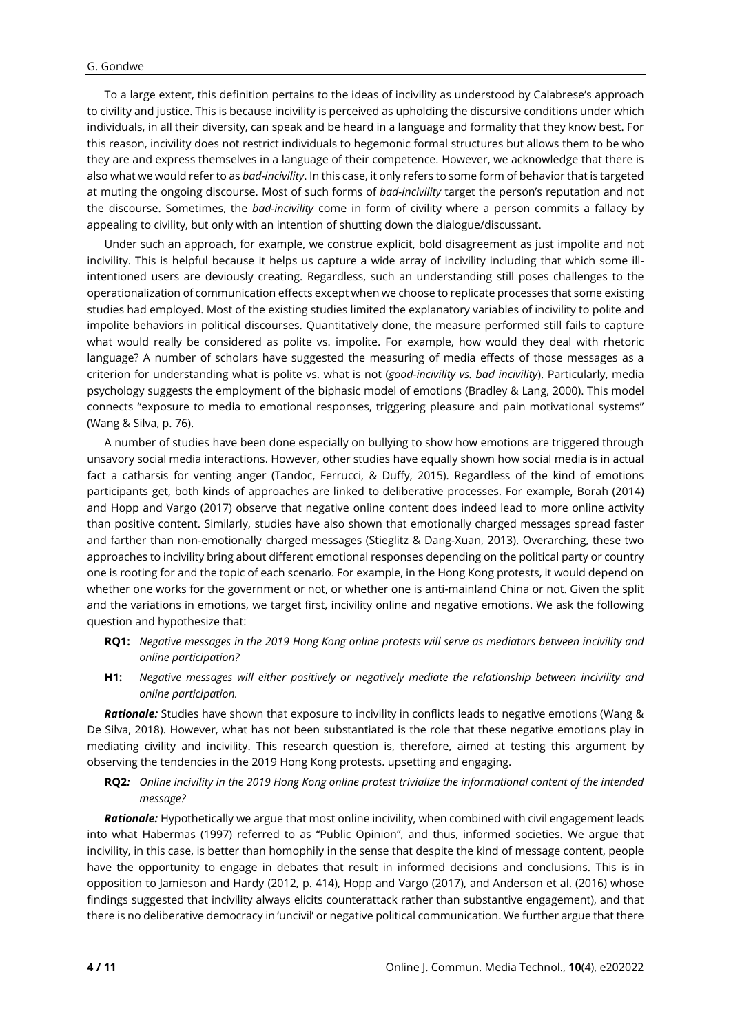To a large extent, this definition pertains to the ideas of incivility as understood by Calabrese's approach to civility and justice. This is because incivility is perceived as upholding the discursive conditions under which individuals, in all their diversity, can speak and be heard in a language and formality that they know best. For this reason, incivility does not restrict individuals to hegemonic formal structures but allows them to be who they are and express themselves in a language of their competence. However, we acknowledge that there is also what we would refer to as *bad-incivility*. In this case, it only refers to some form of behavior that is targeted at muting the ongoing discourse. Most of such forms of *bad-incivility* target the person's reputation and not the discourse. Sometimes, the *bad-incivility* come in form of civility where a person commits a fallacy by appealing to civility, but only with an intention of shutting down the dialogue/discussant.

Under such an approach, for example, we construe explicit, bold disagreement as just impolite and not incivility. This is helpful because it helps us capture a wide array of incivility including that which some illintentioned users are deviously creating. Regardless, such an understanding still poses challenges to the operationalization of communication effects except when we choose to replicate processes that some existing studies had employed. Most of the existing studies limited the explanatory variables of incivility to polite and impolite behaviors in political discourses. Quantitatively done, the measure performed still fails to capture what would really be considered as polite vs. impolite. For example, how would they deal with rhetoric language? A number of scholars have suggested the measuring of media effects of those messages as a criterion for understanding what is polite vs. what is not (*good-incivility vs. bad incivility*). Particularly, media psychology suggests the employment of the biphasic model of emotions (Bradley & Lang, 2000). This model connects "exposure to media to emotional responses, triggering pleasure and pain motivational systems" (Wang & Silva, p. 76).

A number of studies have been done especially on bullying to show how emotions are triggered through unsavory social media interactions. However, other studies have equally shown how social media is in actual fact a catharsis for venting anger (Tandoc, Ferrucci, & Duffy, 2015). Regardless of the kind of emotions participants get, both kinds of approaches are linked to deliberative processes. For example, Borah (2014) and Hopp and Vargo (2017) observe that negative online content does indeed lead to more online activity than positive content. Similarly, studies have also shown that emotionally charged messages spread faster and farther than non-emotionally charged messages (Stieglitz & Dang-Xuan, 2013). Overarching, these two approaches to incivility bring about different emotional responses depending on the political party or country one is rooting for and the topic of each scenario. For example, in the Hong Kong protests, it would depend on whether one works for the government or not, or whether one is anti-mainland China or not. Given the split and the variations in emotions, we target first, incivility online and negative emotions. We ask the following question and hypothesize that:

- RQ1: Negative messages in the 2019 Hong Kong online protests will serve as mediators between incivility and *online participation?*
- **H1:** *Negative messages will either positively or negatively mediate the relationship between incivility and online participation.*

*Rationale:* Studies have shown that exposure to incivility in conflicts leads to negative emotions (Wang & De Silva, 2018). However, what has not been substantiated is the role that these negative emotions play in mediating civility and incivility. This research question is, therefore, aimed at testing this argument by observing the tendencies in the 2019 Hong Kong protests. upsetting and engaging.

RQ2: Online incivility in the 2019 Hong Kong online protest trivialize the informational content of the intended *message?*

*Rationale:* Hypothetically we argue that most online incivility, when combined with civil engagement leads into what Habermas (1997) referred to as "Public Opinion", and thus, informed societies. We argue that incivility, in this case, is better than homophily in the sense that despite the kind of message content, people have the opportunity to engage in debates that result in informed decisions and conclusions. This is in opposition to Jamieson and Hardy (2012, p. 414), Hopp and Vargo (2017), and Anderson et al. (2016) whose findings suggested that incivility always elicits counterattack rather than substantive engagement), and that there is no deliberative democracy in 'uncivil' or negative political communication. We further argue that there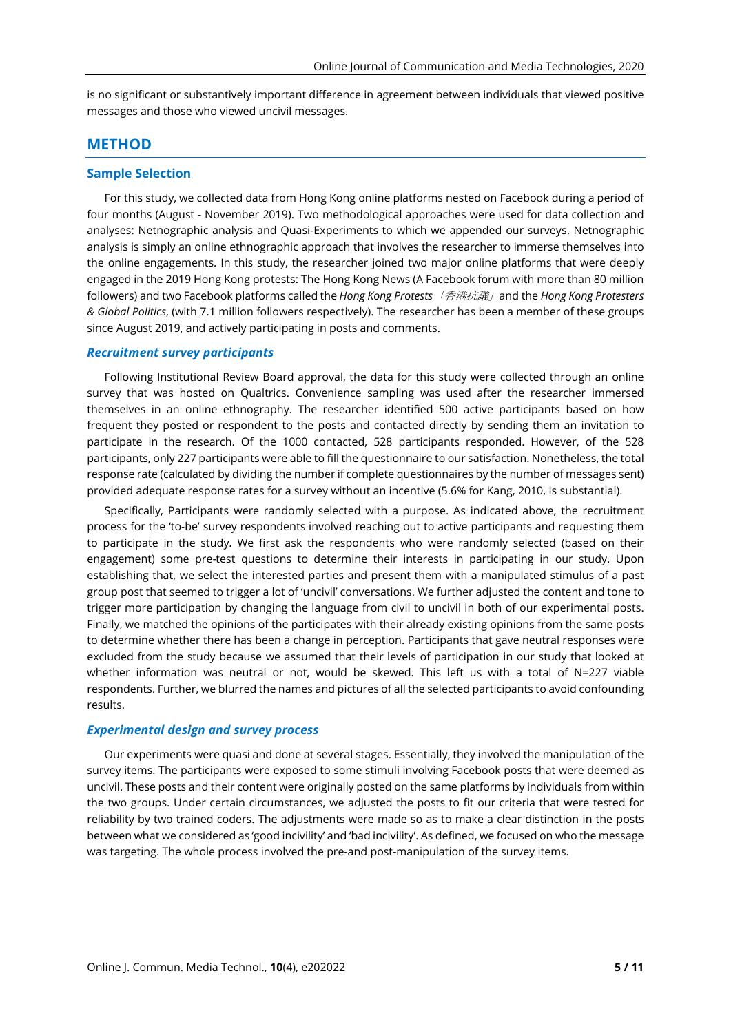is no significant or substantively important difference in agreement between individuals that viewed positive messages and those who viewed uncivil messages.

#### **METHOD**

### **Sample Selection**

For this study, we collected data from Hong Kong online platforms nested on Facebook during a period of four months (August - November 2019). Two methodological approaches were used for data collection and analyses: Netnographic analysis and Quasi-Experiments to which we appended our surveys. Netnographic analysis is simply an online ethnographic approach that involves the researcher to immerse themselves into the online engagements. In this study, the researcher joined two major online platforms that were deeply engaged in the 2019 Hong Kong protests: The Hong Kong News (A Facebook forum with more than 80 million followers) and two Facebook platforms called the *Hong Kong Protests*「香港抗議」and the *Hong Kong Protesters & Global Politics*, (with 7.1 million followers respectively). The researcher has been a member of these groups since August 2019, and actively participating in posts and comments.

#### *Recruitment survey participants*

Following Institutional Review Board approval, the data for this study were collected through an online survey that was hosted on Qualtrics. Convenience sampling was used after the researcher immersed themselves in an online ethnography. The researcher identified 500 active participants based on how frequent they posted or respondent to the posts and contacted directly by sending them an invitation to participate in the research. Of the 1000 contacted, 528 participants responded. However, of the 528 participants, only 227 participants were able to fill the questionnaire to our satisfaction. Nonetheless, the total response rate (calculated by dividing the number if complete questionnaires by the number of messages sent) provided adequate response rates for a survey without an incentive (5.6% for Kang, 2010, is substantial).

Specifically, Participants were randomly selected with a purpose. As indicated above, the recruitment process for the 'to-be' survey respondents involved reaching out to active participants and requesting them to participate in the study. We first ask the respondents who were randomly selected (based on their engagement) some pre-test questions to determine their interests in participating in our study. Upon establishing that, we select the interested parties and present them with a manipulated stimulus of a past group post that seemed to trigger a lot of 'uncivil' conversations. We further adjusted the content and tone to trigger more participation by changing the language from civil to uncivil in both of our experimental posts. Finally, we matched the opinions of the participates with their already existing opinions from the same posts to determine whether there has been a change in perception. Participants that gave neutral responses were excluded from the study because we assumed that their levels of participation in our study that looked at whether information was neutral or not, would be skewed. This left us with a total of N=227 viable respondents. Further, we blurred the names and pictures of all the selected participants to avoid confounding results.

#### *Experimental design and survey process*

Our experiments were quasi and done at several stages. Essentially, they involved the manipulation of the survey items. The participants were exposed to some stimuli involving Facebook posts that were deemed as uncivil. These posts and their content were originally posted on the same platforms by individuals from within the two groups. Under certain circumstances, we adjusted the posts to fit our criteria that were tested for reliability by two trained coders. The adjustments were made so as to make a clear distinction in the posts between what we considered as 'good incivility' and 'bad incivility'. As defined, we focused on who the message was targeting. The whole process involved the pre-and post-manipulation of the survey items.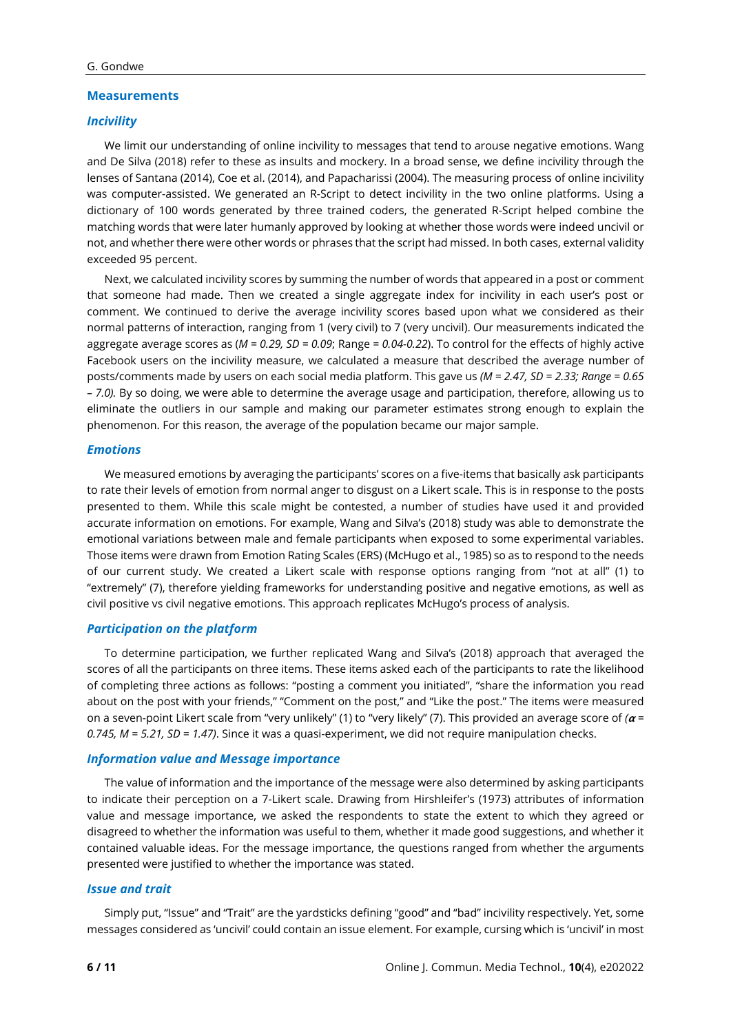#### **Measurements**

#### *Incivility*

We limit our understanding of online incivility to messages that tend to arouse negative emotions. Wang and De Silva (2018) refer to these as insults and mockery. In a broad sense, we define incivility through the lenses of Santana (2014), Coe et al. (2014), and Papacharissi (2004). The measuring process of online incivility was computer-assisted. We generated an R-Script to detect incivility in the two online platforms. Using a dictionary of 100 words generated by three trained coders, the generated R-Script helped combine the matching words that were later humanly approved by looking at whether those words were indeed uncivil or not, and whether there were other words or phrases that the script had missed. In both cases, external validity exceeded 95 percent.

Next, we calculated incivility scores by summing the number of words that appeared in a post or comment that someone had made. Then we created a single aggregate index for incivility in each user's post or comment. We continued to derive the average incivility scores based upon what we considered as their normal patterns of interaction, ranging from 1 (very civil) to 7 (very uncivil). Our measurements indicated the aggregate average scores as (*M = 0.29, SD = 0.09*; Range *= 0.04-0.22*). To control for the effects of highly active Facebook users on the incivility measure, we calculated a measure that described the average number of posts/comments made by users on each social media platform. This gave us *(M = 2.47, SD = 2.33; Range = 0.65 – 7.0).* By so doing, we were able to determine the average usage and participation, therefore, allowing us to eliminate the outliers in our sample and making our parameter estimates strong enough to explain the phenomenon. For this reason, the average of the population became our major sample.

#### *Emotions*

We measured emotions by averaging the participants' scores on a five-items that basically ask participants to rate their levels of emotion from normal anger to disgust on a Likert scale. This is in response to the posts presented to them. While this scale might be contested, a number of studies have used it and provided accurate information on emotions. For example, Wang and Silva's (2018) study was able to demonstrate the emotional variations between male and female participants when exposed to some experimental variables. Those items were drawn from Emotion Rating Scales (ERS) (McHugo et al., 1985) so as to respond to the needs of our current study. We created a Likert scale with response options ranging from "not at all" (1) to "extremely" (7), therefore yielding frameworks for understanding positive and negative emotions, as well as civil positive vs civil negative emotions. This approach replicates McHugo's process of analysis.

### *Participation on the platform*

To determine participation, we further replicated Wang and Silva's (2018) approach that averaged the scores of all the participants on three items. These items asked each of the participants to rate the likelihood of completing three actions as follows: "posting a comment you initiated", "share the information you read about on the post with your friends," "Comment on the post," and "Like the post." The items were measured on a seven-point Likert scale from "very unlikely" (1) to "very likely" (7). This provided an average score of *( = 0.745, M = 5.21, SD = 1.47)*. Since it was a quasi-experiment, we did not require manipulation checks.

#### *Information value and Message importance*

The value of information and the importance of the message were also determined by asking participants to indicate their perception on a 7-Likert scale. Drawing from Hirshleifer's (1973) attributes of information value and message importance, we asked the respondents to state the extent to which they agreed or disagreed to whether the information was useful to them, whether it made good suggestions, and whether it contained valuable ideas. For the message importance, the questions ranged from whether the arguments presented were justified to whether the importance was stated.

#### *Issue and trait*

Simply put, "Issue" and "Trait" are the yardsticks defining "good" and "bad" incivility respectively. Yet, some messages considered as 'uncivil' could contain an issue element. For example, cursing which is 'uncivil' in most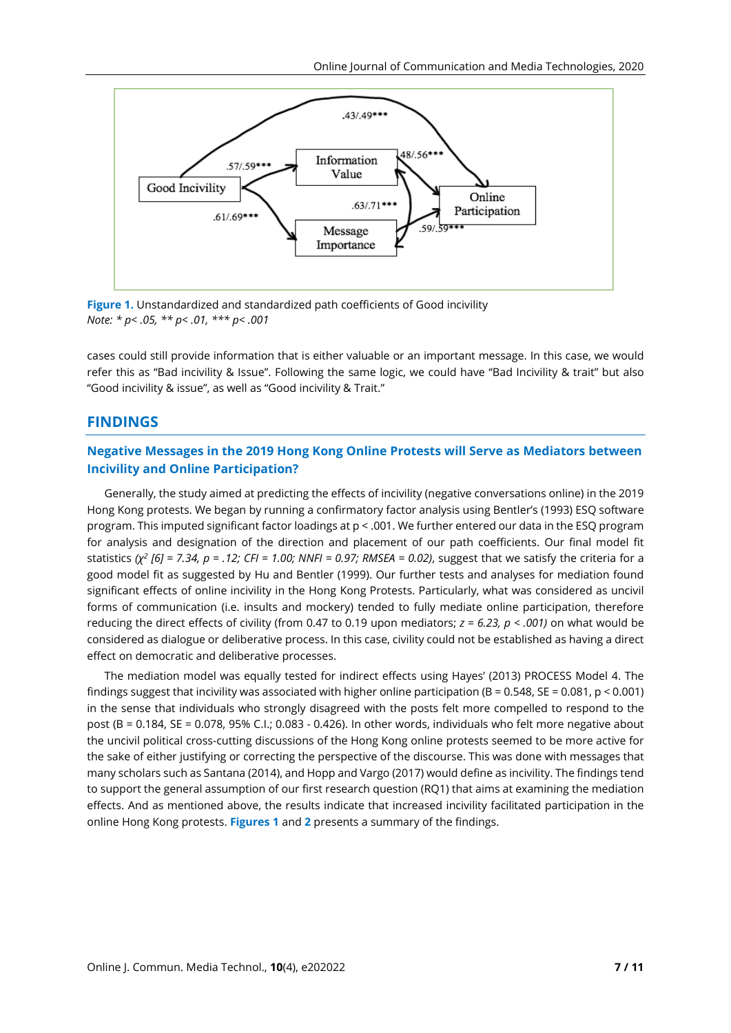

**Figure 1.** Unstandardized and standardized path coefficients of Good incivility *Note: \* p< .05, \*\* p< .01, \*\*\* p< .001*

cases could still provide information that is either valuable or an important message. In this case, we would refer this as "Bad incivility & Issue". Following the same logic, we could have "Bad Incivility & trait" but also "Good incivility & issue", as well as "Good incivility & Trait."

## **FINDINGS**

## **Negative Messages in the 2019 Hong Kong Online Protests will Serve as Mediators between Incivility and Online Participation?**

Generally, the study aimed at predicting the effects of incivility (negative conversations online) in the 2019 Hong Kong protests. We began by running a confirmatory factor analysis using Bentler's (1993) ESQ software program. This imputed significant factor loadings at p < .001. We further entered our data in the ESQ program for analysis and designation of the direction and placement of our path coefficients. Our final model fit statistics ( $\chi^2$  [6] = 7.34, p = .12; CFI = 1.00; NNFI = 0.97; RMSEA = 0.02), suggest that we satisfy the criteria for a good model fit as suggested by Hu and Bentler (1999). Our further tests and analyses for mediation found significant effects of online incivility in the Hong Kong Protests. Particularly, what was considered as uncivil forms of communication (i.e. insults and mockery) tended to fully mediate online participation, therefore reducing the direct effects of civility (from 0.47 to 0.19 upon mediators; *z = 6.23, p < .001)* on what would be considered as dialogue or deliberative process. In this case, civility could not be established as having a direct effect on democratic and deliberative processes.

The mediation model was equally tested for indirect effects using Hayes' (2013) PROCESS Model 4. The findings suggest that incivility was associated with higher online participation (B = 0.548, SE = 0.081,  $p < 0.001$ ) in the sense that individuals who strongly disagreed with the posts felt more compelled to respond to the post (B = 0.184, SE = 0.078, 95% C.I.; 0.083 - 0.426). In other words, individuals who felt more negative about the uncivil political cross-cutting discussions of the Hong Kong online protests seemed to be more active for the sake of either justifying or correcting the perspective of the discourse. This was done with messages that many scholars such as Santana (2014), and Hopp and Vargo (2017) would define as incivility. The findings tend to support the general assumption of our first research question (RQ1) that aims at examining the mediation effects. And as mentioned above, the results indicate that increased incivility facilitated participation in the online Hong Kong protests. **Figures 1** and **2** presents a summary of the findings.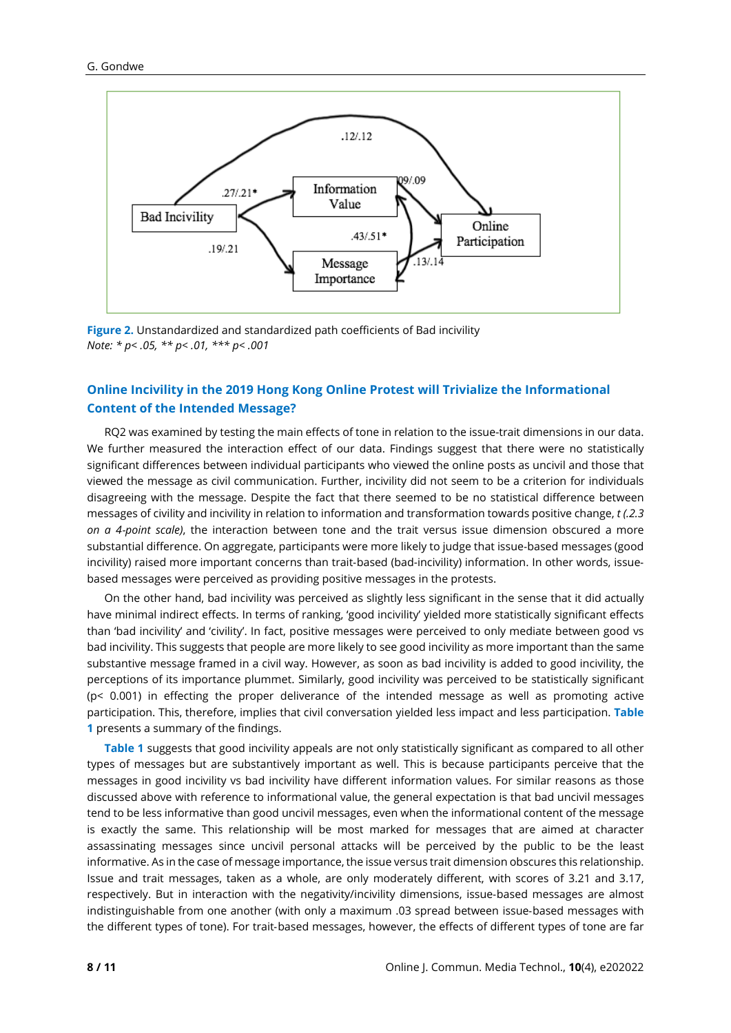

**Figure 2.** Unstandardized and standardized path coefficients of Bad incivility *Note: \* p< .05, \*\* p< .01, \*\*\* p< .001*

# **Online Incivility in the 2019 Hong Kong Online Protest will Trivialize the Informational Content of the Intended Message?**

RQ2 was examined by testing the main effects of tone in relation to the issue-trait dimensions in our data. We further measured the interaction effect of our data. Findings suggest that there were no statistically significant differences between individual participants who viewed the online posts as uncivil and those that viewed the message as civil communication. Further, incivility did not seem to be a criterion for individuals disagreeing with the message. Despite the fact that there seemed to be no statistical difference between messages of civility and incivility in relation to information and transformation towards positive change, *t (.2.3 on a 4*‐*point scale)*, the interaction between tone and the trait versus issue dimension obscured a more substantial difference. On aggregate, participants were more likely to judge that issue‐based messages (good incivility) raised more important concerns than trait-based (bad-incivility) information. In other words, issuebased messages were perceived as providing positive messages in the protests.

On the other hand, bad incivility was perceived as slightly less significant in the sense that it did actually have minimal indirect effects. In terms of ranking, 'good incivility' yielded more statistically significant effects than 'bad incivility' and 'civility'. In fact, positive messages were perceived to only mediate between good vs bad incivility. This suggests that people are more likely to see good incivility as more important than the same substantive message framed in a civil way. However, as soon as bad incivility is added to good incivility, the perceptions of its importance plummet. Similarly, good incivility was perceived to be statistically significant (p< 0.001) in effecting the proper deliverance of the intended message as well as promoting active participation. This, therefore, implies that civil conversation yielded less impact and less participation. **Table 1** presents a summary of the findings.

**Table 1** suggests that good incivility appeals are not only statistically significant as compared to all other types of messages but are substantively important as well. This is because participants perceive that the messages in good incivility vs bad incivility have different information values. For similar reasons as those discussed above with reference to informational value, the general expectation is that bad uncivil messages tend to be less informative than good uncivil messages, even when the informational content of the message is exactly the same. This relationship will be most marked for messages that are aimed at character assassinating messages since uncivil personal attacks will be perceived by the public to be the least informative. As in the case of message importance, the issue versus trait dimension obscures this relationship. Issue and trait messages, taken as a whole, are only moderately different, with scores of 3.21 and 3.17, respectively. But in interaction with the negativity/incivility dimensions, issue-based messages are almost indistinguishable from one another (with only a maximum .03 spread between issue‐based messages with the different types of tone). For trait‐based messages, however, the effects of different types of tone are far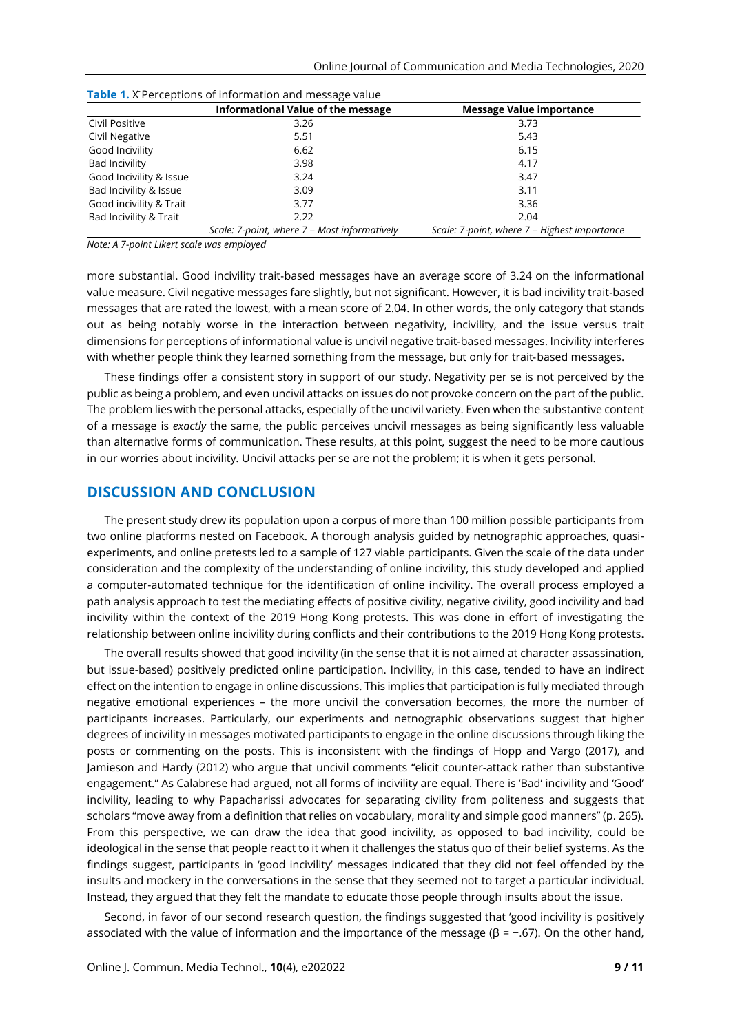|                         | Informational Value of the message             | <b>Message Value importance</b>                |
|-------------------------|------------------------------------------------|------------------------------------------------|
| Civil Positive          | 3.26                                           | 3.73                                           |
| Civil Negative          | 5.51                                           | 5.43                                           |
| Good Incivility         | 6.62                                           | 6.15                                           |
| <b>Bad Incivility</b>   | 3.98                                           | 4.17                                           |
| Good Incivility & Issue | 3.24                                           | 3.47                                           |
| Bad Incivility & Issue  | 3.09                                           | 3.11                                           |
| Good incivility & Trait | 3.77                                           | 3.36                                           |
| Bad Incivility & Trait  | 2.22                                           | 2.04                                           |
|                         | Scale: 7-point, where $7 =$ Most informatively | Scale: 7-point, where $7$ = Highest importance |

**Table 1.** X Perceptions of information and message value

*Note: A 7-point Likert scale was employed*

more substantial. Good incivility trait‐based messages have an average score of 3.24 on the informational value measure. Civil negative messages fare slightly, but not significant. However, it is bad incivility trait‐based messages that are rated the lowest, with a mean score of 2.04. In other words, the only category that stands out as being notably worse in the interaction between negativity, incivility, and the issue versus trait dimensions for perceptions of informational value is uncivil negative trait‐based messages. Incivility interferes with whether people think they learned something from the message, but only for trait-based messages.

These findings offer a consistent story in support of our study. Negativity per se is not perceived by the public as being a problem, and even uncivil attacks on issues do not provoke concern on the part of the public. The problem lies with the personal attacks, especially of the uncivil variety. Even when the substantive content of a message is *exactly* the same, the public perceives uncivil messages as being significantly less valuable than alternative forms of communication. These results, at this point, suggest the need to be more cautious in our worries about incivility. Uncivil attacks per se are not the problem; it is when it gets personal.

#### **DISCUSSION AND CONCLUSION**

The present study drew its population upon a corpus of more than 100 million possible participants from two online platforms nested on Facebook. A thorough analysis guided by netnographic approaches, quasiexperiments, and online pretests led to a sample of 127 viable participants. Given the scale of the data under consideration and the complexity of the understanding of online incivility, this study developed and applied a computer-automated technique for the identification of online incivility. The overall process employed a path analysis approach to test the mediating effects of positive civility, negative civility, good incivility and bad incivility within the context of the 2019 Hong Kong protests. This was done in effort of investigating the relationship between online incivility during conflicts and their contributions to the 2019 Hong Kong protests.

The overall results showed that good incivility (in the sense that it is not aimed at character assassination, but issue-based) positively predicted online participation. Incivility, in this case, tended to have an indirect effect on the intention to engage in online discussions. This implies that participation is fully mediated through negative emotional experiences – the more uncivil the conversation becomes, the more the number of participants increases. Particularly, our experiments and netnographic observations suggest that higher degrees of incivility in messages motivated participants to engage in the online discussions through liking the posts or commenting on the posts. This is inconsistent with the findings of Hopp and Vargo (2017), and Jamieson and Hardy (2012) who argue that uncivil comments "elicit counter-attack rather than substantive engagement." As Calabrese had argued, not all forms of incivility are equal. There is 'Bad' incivility and 'Good' incivility, leading to why Papacharissi advocates for separating civility from politeness and suggests that scholars "move away from a definition that relies on vocabulary, morality and simple good manners" (p. 265). From this perspective, we can draw the idea that good incivility, as opposed to bad incivility, could be ideological in the sense that people react to it when it challenges the status quo of their belief systems. As the findings suggest, participants in 'good incivility' messages indicated that they did not feel offended by the insults and mockery in the conversations in the sense that they seemed not to target a particular individual. Instead, they argued that they felt the mandate to educate those people through insults about the issue.

Second, in favor of our second research question, the findings suggested that 'good incivility is positively associated with the value of information and the importance of the message ( $\beta$  = -.67). On the other hand,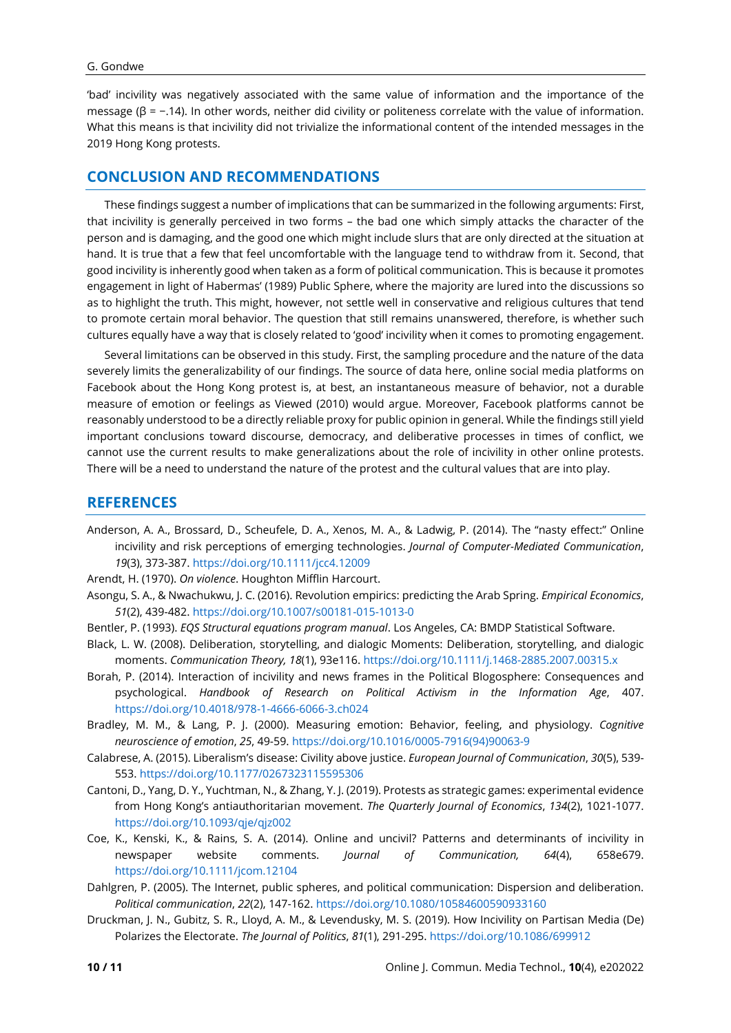#### G. Gondwe

'bad' incivility was negatively associated with the same value of information and the importance of the message (β = −.14). In other words, neither did civility or politeness correlate with the value of information. What this means is that incivility did not trivialize the informational content of the intended messages in the 2019 Hong Kong protests.

# **CONCLUSION AND RECOMMENDATIONS**

These findings suggest a number of implications that can be summarized in the following arguments: First, that incivility is generally perceived in two forms – the bad one which simply attacks the character of the person and is damaging, and the good one which might include slurs that are only directed at the situation at hand. It is true that a few that feel uncomfortable with the language tend to withdraw from it. Second, that good incivility is inherently good when taken as a form of political communication. This is because it promotes engagement in light of Habermas' (1989) Public Sphere, where the majority are lured into the discussions so as to highlight the truth. This might, however, not settle well in conservative and religious cultures that tend to promote certain moral behavior. The question that still remains unanswered, therefore, is whether such cultures equally have a way that is closely related to 'good' incivility when it comes to promoting engagement.

Several limitations can be observed in this study. First, the sampling procedure and the nature of the data severely limits the generalizability of our findings. The source of data here, online social media platforms on Facebook about the Hong Kong protest is, at best, an instantaneous measure of behavior, not a durable measure of emotion or feelings as Viewed (2010) would argue. Moreover, Facebook platforms cannot be reasonably understood to be a directly reliable proxy for public opinion in general. While the findings still yield important conclusions toward discourse, democracy, and deliberative processes in times of conflict, we cannot use the current results to make generalizations about the role of incivility in other online protests. There will be a need to understand the nature of the protest and the cultural values that are into play.

# **REFERENCES**

- Anderson, A. A., Brossard, D., Scheufele, D. A., Xenos, M. A., & Ladwig, P. (2014). The "nasty effect:" Online incivility and risk perceptions of emerging technologies. *Journal of Computer-Mediated Communication*, *19*(3), 373-387. <https://doi.org/10.1111/jcc4.12009>
- Arendt, H. (1970). *On violence*. Houghton Mifflin Harcourt.
- Asongu, S. A., & Nwachukwu, J. C. (2016). Revolution empirics: predicting the Arab Spring. *Empirical Economics*, *51*(2), 439-482. <https://doi.org/10.1007/s00181-015-1013-0>
- Bentler, P. (1993). *EQS Structural equations program manual*. Los Angeles, CA: BMDP Statistical Software.
- Black, L. W. (2008). Deliberation, storytelling, and dialogic Moments: Deliberation, storytelling, and dialogic moments. *Communication Theory, 18*(1), 93e116. <https://doi.org/10.1111/j.1468-2885.2007.00315.x>
- Borah, P. (2014). Interaction of incivility and news frames in the Political Blogosphere: Consequences and psychological. *Handbook of Research on Political Activism in the Information Age*, 407. <https://doi.org/10.4018/978-1-4666-6066-3.ch024>
- Bradley, M. M., & Lang, P. J. (2000). Measuring emotion: Behavior, feeling, and physiology. *Cognitive neuroscience of emotion*, *25*, 49-59. [https://doi.org/10.1016/0005-7916\(94\)90063-9](https://doi.org/10.1016/0005-7916(94)90063-9)
- Calabrese, A. (2015). Liberalism's disease: Civility above justice. *European Journal of Communication*, *30*(5), 539- 553. <https://doi.org/10.1177/0267323115595306>
- Cantoni, D., Yang, D. Y., Yuchtman, N., & Zhang, Y. J. (2019). Protests as strategic games: experimental evidence from Hong Kong's antiauthoritarian movement. *The Quarterly Journal of Economics*, *134*(2), 1021-1077. <https://doi.org/10.1093/qje/qjz002>
- Coe, K., Kenski, K., & Rains, S. A. (2014). Online and uncivil? Patterns and determinants of incivility in newspaper website comments. *Journal of Communication, 64*(4), 658e679. <https://doi.org/10.1111/jcom.12104>
- Dahlgren, P. (2005). The Internet, public spheres, and political communication: Dispersion and deliberation. *Political communication*, *22*(2), 147-162. <https://doi.org/10.1080/10584600590933160>
- Druckman, J. N., Gubitz, S. R., Lloyd, A. M., & Levendusky, M. S. (2019). How Incivility on Partisan Media (De) Polarizes the Electorate. *The Journal of Politics*, *81*(1), 291-295. <https://doi.org/10.1086/699912>